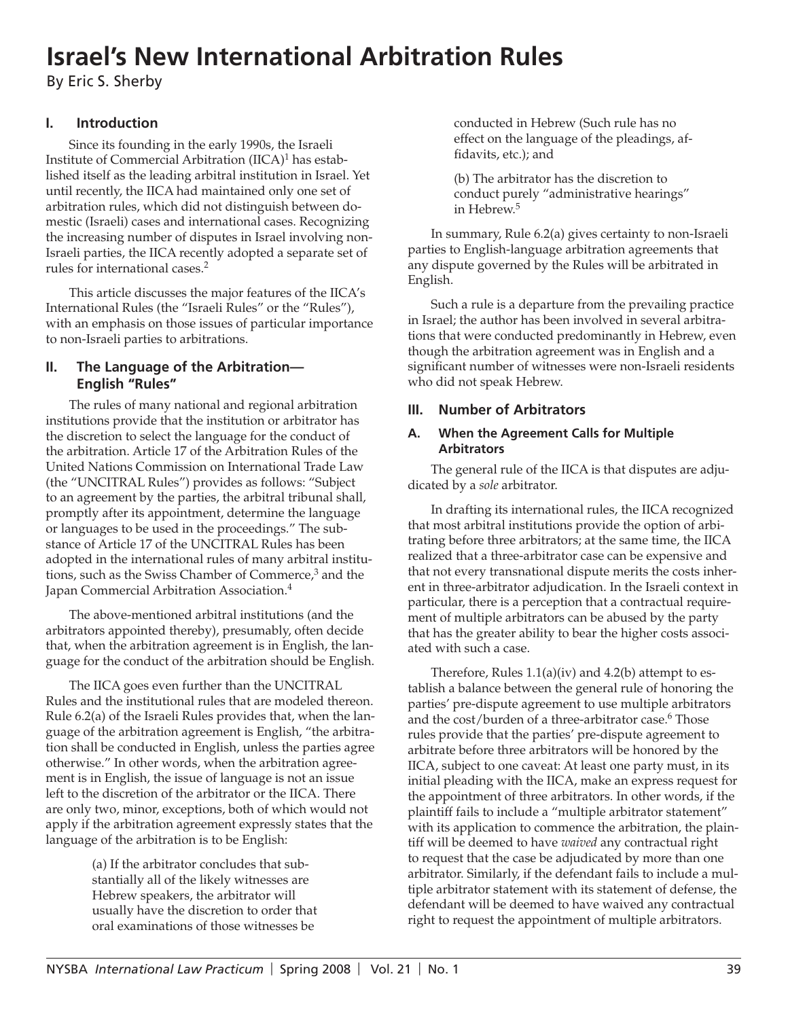## **Israel's New International Arbitration Rules**

By Eric S. Sherby

## **I. Introduction**

Since its founding in the early 1990s, the Israeli Institute of Commercial Arbitration  $(IICA)^1$  has established itself as the leading arbitral institution in Israel. Yet until recently, the IICA had maintained only one set of arbitration rules, which did not distinguish between domestic (Israeli) cases and international cases. Recognizing the increasing number of disputes in Israel involving non-Israeli parties, the IICA recently adopted a separate set of rules for international cases.2

This article discusses the major features of the IICA's International Rules (the "Israeli Rules" or the "Rules"), with an emphasis on those issues of particular importance to non-Israeli parties to arbitrations.

### **II. The Language of the Arbitration— English "Rules"**

The rules of many national and regional arbitration institutions provide that the institution or arbitrator has the discretion to select the language for the conduct of the arbitration. Article 17 of the Arbitration Rules of the United Nations Commission on International Trade Law (the "UNCITRAL Rules") provides as follows: "Subject to an agreement by the parties, the arbitral tribunal shall, promptly after its appointment, determine the language or languages to be used in the proceedings." The substance of Article 17 of the UNCITRAL Rules has been adopted in the international rules of many arbitral institutions, such as the Swiss Chamber of Commerce, $3$  and the Japan Commercial Arbitration Association.4

The above-mentioned arbitral institutions (and the arbitrators appointed thereby), presumably, often decide that, when the arbitration agreement is in English, the language for the conduct of the arbitration should be English.

The IICA goes even further than the UNCITRAL Rules and the institutional rules that are modeled thereon. Rule 6.2(a) of the Israeli Rules provides that, when the language of the arbitration agreement is English, "the arbitration shall be conducted in English, unless the parties agree otherwise." In other words, when the arbitration agreement is in English, the issue of language is not an issue left to the discretion of the arbitrator or the IICA. There are only two, minor, exceptions, both of which would not apply if the arbitration agreement expressly states that the language of the arbitration is to be English:

> (a) If the arbitrator concludes that substantially all of the likely witnesses are Hebrew speakers, the arbitrator will usually have the discretion to order that oral examinations of those witnesses be

conducted in Hebrew (Such rule has no effect on the language of the pleadings, affidavits, etc.); and

(b) The arbitrator has the discretion to conduct purely "administrative hearings" in Hebrew.5

In summary, Rule 6.2(a) gives certainty to non-Israeli parties to English-language arbitration agreements that any dispute governed by the Rules will be arbitrated in English.

Such a rule is a departure from the prevailing practice in Israel; the author has been involved in several arbitrations that were conducted predominantly in Hebrew, even though the arbitration agreement was in English and a significant number of witnesses were non-Israeli residents who did not speak Hebrew.

#### **III. Number of Arbitrators**

#### **A. When the Agreement Calls for Multiple Arbitrators**

The general rule of the IICA is that disputes are adjudicated by a *sole* arbitrator.

In drafting its international rules, the IICA recognized that most arbitral institutions provide the option of arbitrating before three arbitrators; at the same time, the IICA realized that a three-arbitrator case can be expensive and that not every transnational dispute merits the costs inherent in three-arbitrator adjudication. In the Israeli context in particular, there is a perception that a contractual requirement of multiple arbitrators can be abused by the party that has the greater ability to bear the higher costs associated with such a case.

Therefore, Rules  $1.1(a)(iv)$  and  $4.2(b)$  attempt to establish a balance between the general rule of honoring the parties' pre-dispute agreement to use multiple arbitrators and the cost/burden of a three-arbitrator case.<sup>6</sup> Those rules provide that the parties' pre-dispute agreement to arbitrate before three arbitrators will be honored by the IICA, subject to one caveat: At least one party must, in its initial pleading with the IICA, make an express request for the appointment of three arbitrators. In other words, if the plaintiff fails to include a "multiple arbitrator statement" with its application to commence the arbitration, the plaintiff will be deemed to have *waived* any contractual right to request that the case be adjudicated by more than one arbitrator. Similarly, if the defendant fails to include a multiple arbitrator statement with its statement of defense, the defendant will be deemed to have waived any contractual right to request the appointment of multiple arbitrators.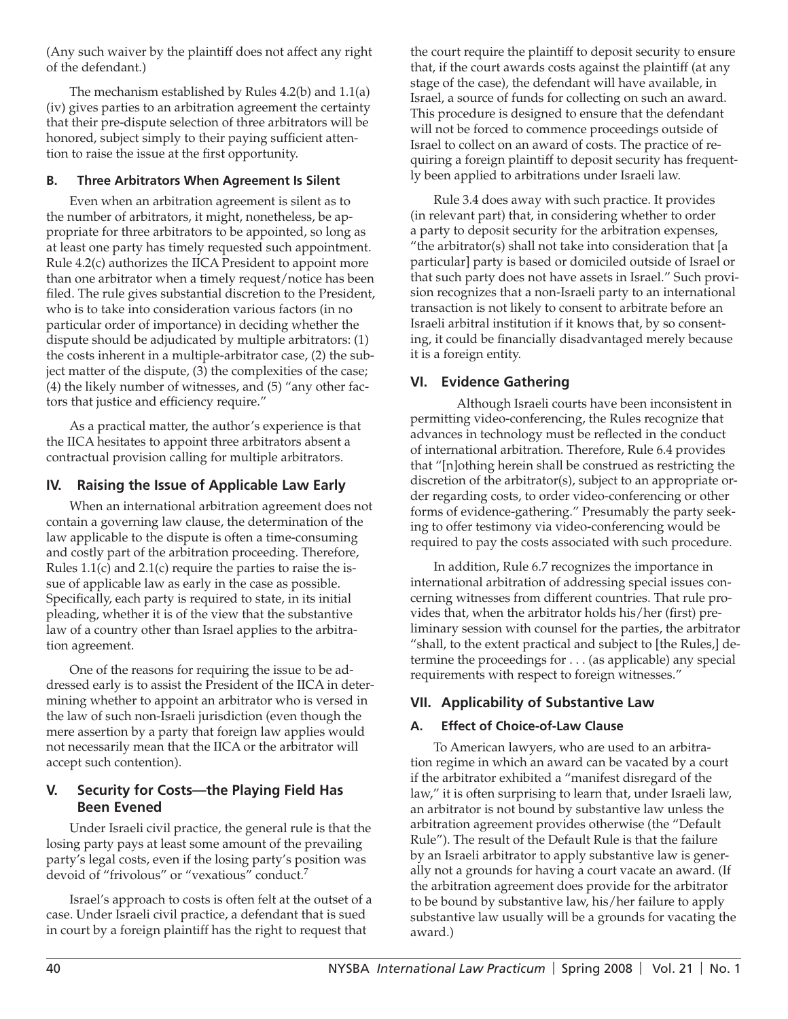(Any such waiver by the plaintiff does not affect any right of the defendant.)

The mechanism established by Rules 4.2(b) and 1.1(a) (iv) gives parties to an arbitration agreement the certainty that their pre-dispute selection of three arbitrators will be honored, subject simply to their paying sufficient attention to raise the issue at the first opportunity.

## **B. Three Arbitrators When Agreement Is Silent**

Even when an arbitration agreement is silent as to the number of arbitrators, it might, nonetheless, be appropriate for three arbitrators to be appointed, so long as at least one party has timely requested such appointment. Rule 4.2(c) authorizes the IICA President to appoint more than one arbitrator when a timely request/notice has been filed. The rule gives substantial discretion to the President, who is to take into consideration various factors (in no particular order of importance) in deciding whether the dispute should be adjudicated by multiple arbitrators: (1) the costs inherent in a multiple-arbitrator case, (2) the subject matter of the dispute, (3) the complexities of the case; (4) the likely number of witnesses, and (5) "any other factors that justice and efficiency require."

As a practical matter, the author's experience is that the IICA hesitates to appoint three arbitrators absent a contractual provision calling for multiple arbitrators.

## **IV. Raising the Issue of Applicable Law Early**

When an international arbitration agreement does not contain a governing law clause, the determination of the law applicable to the dispute is often a time-consuming and costly part of the arbitration proceeding. Therefore, Rules 1.1(c) and 2.1(c) require the parties to raise the issue of applicable law as early in the case as possible. Specifically, each party is required to state, in its initial pleading, whether it is of the view that the substantive law of a country other than Israel applies to the arbitration agreement.

One of the reasons for requiring the issue to be addressed early is to assist the President of the IICA in determining whether to appoint an arbitrator who is versed in the law of such non-Israeli jurisdiction (even though the mere assertion by a party that foreign law applies would not necessarily mean that the IICA or the arbitrator will accept such contention).

## **V. Security for Costs—the Playing Field Has Been Evened**

Under Israeli civil practice, the general rule is that the losing party pays at least some amount of the prevailing party's legal costs, even if the losing party's position was devoid of "frivolous" or "vexatious" conduct.7

Israel's approach to costs is often felt at the outset of a case. Under Israeli civil practice, a defendant that is sued in court by a foreign plaintiff has the right to request that

the court require the plaintiff to deposit security to ensure that, if the court awards costs against the plaintiff (at any stage of the case), the defendant will have available, in Israel, a source of funds for collecting on such an award. This procedure is designed to ensure that the defendant will not be forced to commence proceedings outside of Israel to collect on an award of costs. The practice of requiring a foreign plaintiff to deposit security has frequently been applied to arbitrations under Israeli law.

Rule 3.4 does away with such practice. It provides (in relevant part) that, in considering whether to order a party to deposit security for the arbitration expenses, "the arbitrator(s) shall not take into consideration that [a particular] party is based or domiciled outside of Israel or that such party does not have assets in Israel." Such provision recognizes that a non-Israeli party to an international transaction is not likely to consent to arbitrate before an Israeli arbitral institution if it knows that, by so consenting, it could be financially disadvantaged merely because it is a foreign entity.

## **VI. Evidence Gathering**

 Although Israeli courts have been inconsistent in permitting video-conferencing, the Rules recognize that advances in technology must be reflected in the conduct of international arbitration. Therefore, Rule 6.4 provides that "[n]othing herein shall be construed as restricting the discretion of the arbitrator(s), subject to an appropriate order regarding costs, to order video-conferencing or other forms of evidence-gathering." Presumably the party seeking to offer testimony via video-conferencing would be required to pay the costs associated with such procedure.

In addition, Rule 6.7 recognizes the importance in international arbitration of addressing special issues concerning witnesses from different countries. That rule provides that, when the arbitrator holds his/her (first) preliminary session with counsel for the parties, the arbitrator "shall, to the extent practical and subject to [the Rules,] determine the proceedings for . . . (as applicable) any special requirements with respect to foreign witnesses."

## **VII. Applicability of Substantive Law**

## **A. Effect of Choice-of-Law Clause**

To American lawyers, who are used to an arbitration regime in which an award can be vacated by a court if the arbitrator exhibited a "manifest disregard of the law," it is often surprising to learn that, under Israeli law, an arbitrator is not bound by substantive law unless the arbitration agreement provides otherwise (the "Default Rule"). The result of the Default Rule is that the failure by an Israeli arbitrator to apply substantive law is generally not a grounds for having a court vacate an award. (If the arbitration agreement does provide for the arbitrator to be bound by substantive law, his/her failure to apply substantive law usually will be a grounds for vacating the award.)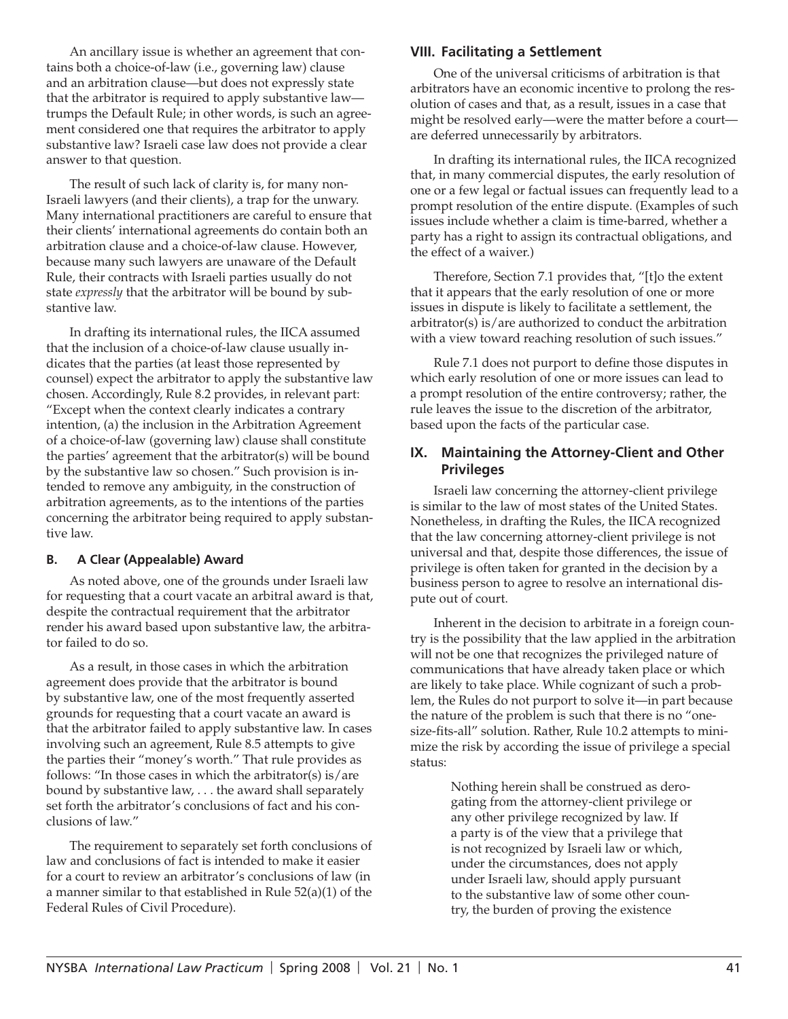An ancillary issue is whether an agreement that contains both a choice-of-law (i.e., governing law) clause and an arbitration clause—but does not expressly state that the arbitrator is required to apply substantive law trumps the Default Rule; in other words, is such an agreement considered one that requires the arbitrator to apply substantive law? Israeli case law does not provide a clear answer to that question.

The result of such lack of clarity is, for many non-Israeli lawyers (and their clients), a trap for the unwary. Many international practitioners are careful to ensure that their clients' international agreements do contain both an arbitration clause and a choice-of-law clause. However, because many such lawyers are unaware of the Default Rule, their contracts with Israeli parties usually do not state *expressly* that the arbitrator will be bound by substantive law.

In drafting its international rules, the IICA assumed that the inclusion of a choice-of-law clause usually indicates that the parties (at least those represented by counsel) expect the arbitrator to apply the substantive law chosen. Accordingly, Rule 8.2 provides, in relevant part: "Except when the context clearly indicates a contrary intention, (a) the inclusion in the Arbitration Agreement of a choice-of-law (governing law) clause shall constitute the parties' agreement that the arbitrator(s) will be bound by the substantive law so chosen." Such provision is intended to remove any ambiguity, in the construction of arbitration agreements, as to the intentions of the parties concerning the arbitrator being required to apply substantive law.

#### **B. A Clear (Appealable) Award**

As noted above, one of the grounds under Israeli law for requesting that a court vacate an arbitral award is that, despite the contractual requirement that the arbitrator render his award based upon substantive law, the arbitrator failed to do so.

As a result, in those cases in which the arbitration agreement does provide that the arbitrator is bound by substantive law, one of the most frequently asserted grounds for requesting that a court vacate an award is that the arbitrator failed to apply substantive law. In cases involving such an agreement, Rule 8.5 attempts to give the parties their "money's worth." That rule provides as follows: "In those cases in which the arbitrator(s) is/are bound by substantive law, . . . the award shall separately set forth the arbitrator's conclusions of fact and his conclusions of law."

The requirement to separately set forth conclusions of law and conclusions of fact is intended to make it easier for a court to review an arbitrator's conclusions of law (in a manner similar to that established in Rule 52(a)(1) of the Federal Rules of Civil Procedure).

#### **VIII. Facilitating a Settlement**

One of the universal criticisms of arbitration is that arbitrators have an economic incentive to prolong the resolution of cases and that, as a result, issues in a case that might be resolved early—were the matter before a court are deferred unnecessarily by arbitrators.

In drafting its international rules, the IICA recognized that, in many commercial disputes, the early resolution of one or a few legal or factual issues can frequently lead to a prompt resolution of the entire dispute. (Examples of such issues include whether a claim is time-barred, whether a party has a right to assign its contractual obligations, and the effect of a waiver.)

Therefore, Section 7.1 provides that, "[t]o the extent that it appears that the early resolution of one or more issues in dispute is likely to facilitate a settlement, the arbitrator(s) is/are authorized to conduct the arbitration with a view toward reaching resolution of such issues."

Rule 7.1 does not purport to define those disputes in which early resolution of one or more issues can lead to a prompt resolution of the entire controversy; rather, the rule leaves the issue to the discretion of the arbitrator, based upon the facts of the particular case.

### **IX. Maintaining the Attorney-Client and Other Privileges**

Israeli law concerning the attorney-client privilege is similar to the law of most states of the United States. Nonetheless, in drafting the Rules, the IICA recognized that the law concerning attorney-client privilege is not universal and that, despite those differences, the issue of privilege is often taken for granted in the decision by a business person to agree to resolve an international dispute out of court.

Inherent in the decision to arbitrate in a foreign country is the possibility that the law applied in the arbitration will not be one that recognizes the privileged nature of communications that have already taken place or which are likely to take place. While cognizant of such a problem, the Rules do not purport to solve it—in part because the nature of the problem is such that there is no "onesize-fits-all" solution. Rather, Rule 10.2 attempts to minimize the risk by according the issue of privilege a special status:

> Nothing herein shall be construed as derogating from the attorney-client privilege or any other privilege recognized by law. If a party is of the view that a privilege that is not recognized by Israeli law or which, under the circumstances, does not apply under Israeli law, should apply pursuant to the substantive law of some other country, the burden of proving the existence